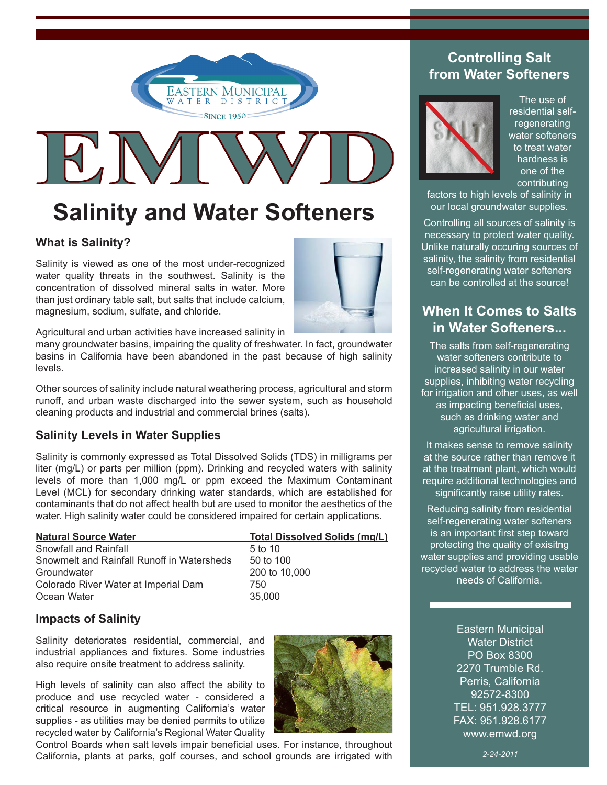



# **Salinity and Water Softeners**

## **What is Salinity?**

Salinity is viewed as one of the most under-recognized water quality threats in the southwest. Salinity is the concentration of dissolved mineral salts in water. More than just ordinary table salt, but salts that include calcium, magnesium, sodium, sulfate, and chloride.



Agricultural and urban activities have increased salinity in

many groundwater basins, impairing the quality of freshwater. In fact, groundwater basins in California have been abandoned in the past because of high salinity levels.

Other sources of salinity include natural weathering process, agricultural and storm runoff, and urban waste discharged into the sewer system, such as household cleaning products and industrial and commercial brines (salts).

## **Salinity Levels in Water Supplies**

Salinity is commonly expressed as Total Dissolved Solids (TDS) in milligrams per liter (mg/L) or parts per million (ppm). Drinking and recycled waters with salinity levels of more than 1,000 mg/L or ppm exceed the Maximum Contaminant Level (MCL) for secondary drinking water standards, which are established for contaminants that do not affect health but are used to monitor the aesthetics of the water. High salinity water could be considered impaired for certain applications.

| <b>Natural Source Water</b>                | <b>Total Dissolved Solids (mg/L)</b> |
|--------------------------------------------|--------------------------------------|
| Snowfall and Rainfall                      | 5 to 10                              |
| Snowmelt and Rainfall Runoff in Watersheds | 50 to 100                            |
| Groundwater                                | 200 to 10,000                        |
| Colorado River Water at Imperial Dam       | 750                                  |
| Ocean Water                                | 35,000                               |

## **Impacts of Salinity**

Salinity deteriorates residential, commercial, and industrial appliances and fixtures. Some industries also require onsite treatment to address salinity.

High levels of salinity can also affect the ability to produce and use recycled water - considered a critical resource in augmenting California's water supplies - as utilities may be denied permits to utilize recycled water by California's Regional Water Quality



Control Boards when salt levels impair beneficial uses. For instance, throughout California, plants at parks, golf courses, and school grounds are irrigated with

## **Controlling Salt from Water Softeners**



The use of residential selfregenerating water softeners to treat water hardness is one of the contributing

factors to high levels of salinity in our local groundwater supplies.

Controlling all sources of salinity is necessary to protect water quality. Unlike naturally occuring sources of salinity, the salinity from residential self-regenerating water softeners can be controlled at the source!

## **When It Comes to Salts in Water Softeners...**

The salts from self-regenerating water softeners contribute to increased salinity in our water supplies, inhibiting water recycling for irrigation and other uses, as well as impacting beneficial uses, such as drinking water and agricultural irrigation.

It makes sense to remove salinity at the source rather than remove it at the treatment plant, which would require additional technologies and significantly raise utility rates.

Reducing salinity from residential self-regenerating water softeners is an important first step toward protecting the quality of exisitng water supplies and providing usable recycled water to address the water needs of California.

> Eastern Municipal Water District PO Box 8300 2270 Trumble Rd. Perris, California 92572-8300 TEL: 951.928.3777 FAX: 951.928.6177 www.emwd.org

> > *2-24-2011*